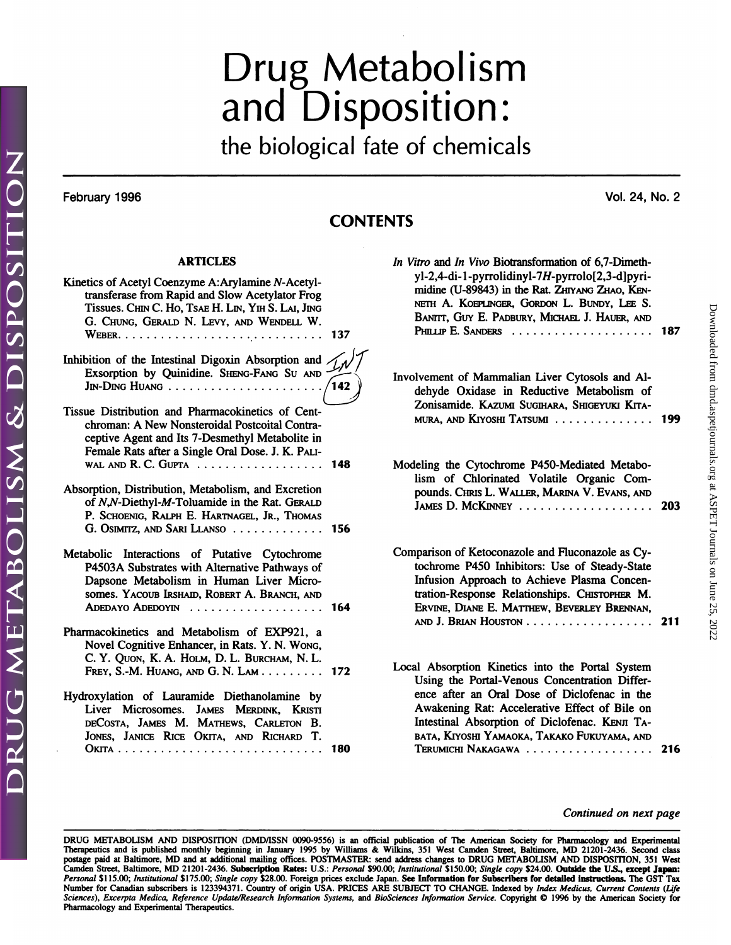# Drug Metabolism<br>and Disposition: Drug Metabolism<br>and Disposition:<br>the biological fate of chemicals

the biological fate of chemicals<br>February 1996<br>Vol. 24, No. 2

## **CONTENTS**

### ARTICLES

| <b>ARTICLES</b>                                                                                                                                                                                                                    | In Vi        |
|------------------------------------------------------------------------------------------------------------------------------------------------------------------------------------------------------------------------------------|--------------|
| Kinetics of Acetyl Coenzyme A:Arylamine N-Acetyl-<br>transferase from Rapid and Slow Acetylator Frog<br>Tissues. CHIN C. Ho, TSAE H. LIN, YIH S. LAI, JING<br>G. CHUNG, GERALD N. LEVY, AND WENDELL W.                             |              |
| Inhibition of the Intestinal Digoxin Absorption and /<br>Exsorption by Quinidine. SHENG-FANG SU AND -<br>$J_{IN}$ - $D_{ING}$ Huang                                                                                                | Invo<br>/142 |
| Tissue Distribution and Pharmacokinetics of Cent-<br>chroman: A New Nonsteroidal Postcoital Contra-<br>ceptive Agent and Its 7-Desmethyl Metabolite in<br>Female Rats after a Single Oral Dose. J. K. PALI-<br>WAL AND R. C. GUPTA | 148<br>Mod   |
| Absorption, Distribution, Metabolism, and Excretion<br>of N,N-Diethyl-M-Toluamide in the Rat. GERALD<br>P. SCHOENIG, RALPH E. HARTNAGEL, JR., THOMAS<br>G. OSIMITZ, AND SARI LLANSO                                                | - 156        |
| Metabolic Interactions of Putative Cytochrome<br>P4503A Substrates with Alternative Pathways of<br>Dapsone Metabolism in Human Liver Micro-<br>somes. YACOUB IRSHAID, ROBERT A. BRANCH, AND<br>ADEDAYO ADEDOYIN                    | Com<br>164   |
| Pharmacokinetics and Metabolism of EXP921, a<br>Novel Cognitive Enhancer, in Rats. Y. N. Wong,<br>C. Y. QUON, K. A. HOLM, D. L. BURCHAM, N. L.<br>FREY, S.-M. HUANG, AND G. N. LAM                                                 | Loca<br>172  |
| Hydroxylation of Lauramide Diethanolamine by<br>Liver Microsomes. JAMES MERDINK, KRISTI<br>DECOSTA, JAMES M. MATHEWS, CARLETON B.<br>JONES, JANICE RICE OKITA, AND RICHARD T.                                                      |              |
|                                                                                                                                                                                                                                    | 180          |

| ENTS                                                                                                                                                                                                                                                                                                                       |     |  |
|----------------------------------------------------------------------------------------------------------------------------------------------------------------------------------------------------------------------------------------------------------------------------------------------------------------------------|-----|--|
| In Vitro and In Vivo Biotransformation of 6,7-Dimeth-<br>yl-2,4-di-1-pyrrolidinyl-7H-pyrrolo[2,3-d]pyri-<br>midine (U-89843) in the Rat. ZHIYANG ZHAO, KEN-<br>NETH A. KOEPLINGER, GORDON L. BUNDY, LEE S.<br>BANITT, GUY E. PADBURY, MICHAEL J. HAUER, AND                                                                | 187 |  |
| Involvement of Mammalian Liver Cytosols and Al-<br>dehyde Oxidase in Reductive Metabolism of<br>Zonisamide. KAZUMI SUGIHARA, SHIGEYUKI KITA-<br>MURA, AND KIYOSHI TATSUMI                                                                                                                                                  | 199 |  |
| Modeling the Cytochrome P450-Mediated Metabo-<br>lism of Chlorinated Volatile Organic Com-<br>pounds. CHRIS L. WALLER, MARINA V. EVANS, AND<br>JAMES D. MCKINNEY                                                                                                                                                           | 203 |  |
| Comparison of Ketoconazole and Fluconazole as Cy-<br>tochrome P450 Inhibitors: Use of Steady-State<br>Infusion Approach to Achieve Plasma Concen-<br>tration-Response Relationships. CHISTOPHER M.<br>ERVINE, DIANE E. MATTHEW, BEVERLEY BRENNAN,                                                                          | 211 |  |
| Local Absorption Kinetics into the Portal System<br>Using the Portal-Venous Concentration Differ-<br>ence after an Oral Dose of Diclofenac in the<br>Awakening Rat: Accelerative Effect of Bile on<br>Intestinal Absorption of Diclofenac. KENJI TA-<br>BATA, KIYOSHI YAMAOKA, TAKAKO FUKUYAMA, AND<br>Teridiicht Nakagawa | 216 |  |

Intestinal Absorption of Diclofenac. Kenji Ta-<br>Bata, Kiyoshi Yamaoka, Takako Fukuyama, and<br>Terumichi Nakagawa<br>216

### *Continued on next page*

Continued on next page<br>
DRUG METABOLISM AND DISPOSITION (DMD/ISSN 0090-9556) is an official publication of The American Society for Pharmacology and Experimental<br>
Therapeutics and is published monthly beginning in January postage paid at Baltimore, MD and at additional mailing offices. POSTMASTER: send address changes to DRUG METABOLISM AND DISPOSITION, 351 West<br>Camden Street, Baltimore, MD 21201-2436. Subscription Rates: U.S.: *Personal* \$